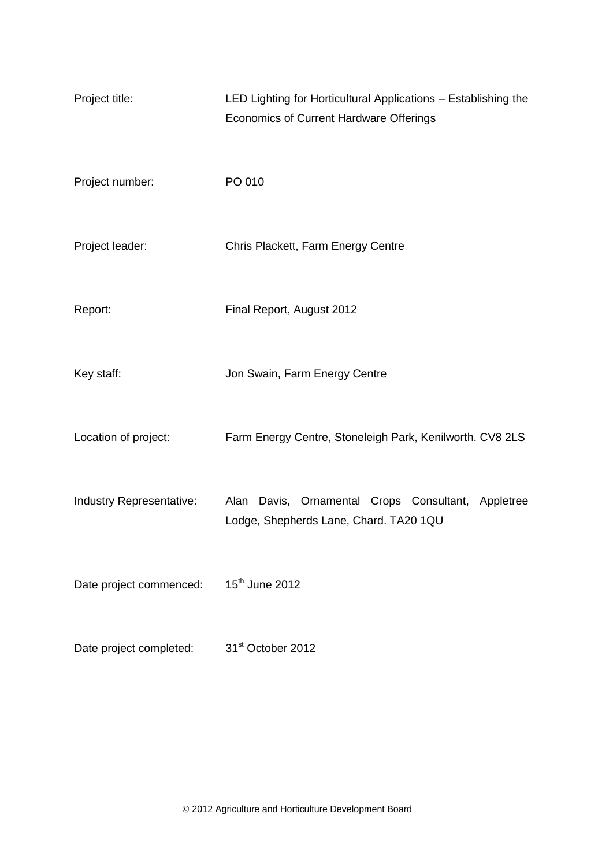| Project title:           | LED Lighting for Horticultural Applications - Establishing the<br><b>Economics of Current Hardware Offerings</b> |
|--------------------------|------------------------------------------------------------------------------------------------------------------|
| Project number:          | PO 010                                                                                                           |
| Project leader:          | Chris Plackett, Farm Energy Centre                                                                               |
| Report:                  | Final Report, August 2012                                                                                        |
| Key staff:               | Jon Swain, Farm Energy Centre                                                                                    |
| Location of project:     | Farm Energy Centre, Stoneleigh Park, Kenilworth. CV8 2LS                                                         |
| Industry Representative: | Alan Davis, Ornamental Crops Consultant, Appletree<br>Lodge, Shepherds Lane, Chard. TA20 1QU                     |
| Date project commenced:  | 15 <sup>th</sup> June 2012                                                                                       |
| Date project completed:  | 31 <sup>st</sup> October 2012                                                                                    |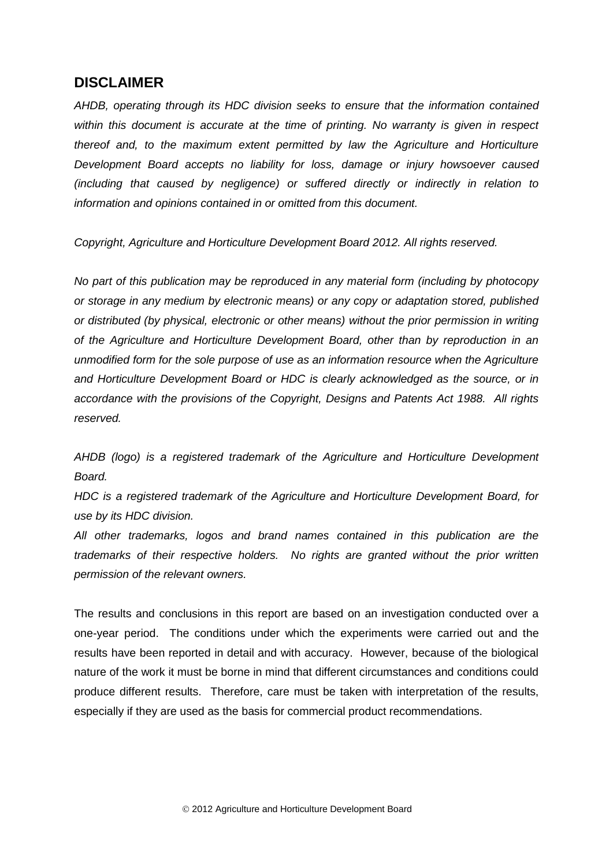## **DISCLAIMER**

*AHDB, operating through its HDC division seeks to ensure that the information contained within this document is accurate at the time of printing. No warranty is given in respect thereof and, to the maximum extent permitted by law the Agriculture and Horticulture Development Board accepts no liability for loss, damage or injury howsoever caused (including that caused by negligence) or suffered directly or indirectly in relation to information and opinions contained in or omitted from this document.* 

*Copyright, Agriculture and Horticulture Development Board 2012. All rights reserved.*

*No part of this publication may be reproduced in any material form (including by photocopy or storage in any medium by electronic means) or any copy or adaptation stored, published or distributed (by physical, electronic or other means) without the prior permission in writing of the Agriculture and Horticulture Development Board, other than by reproduction in an unmodified form for the sole purpose of use as an information resource when the Agriculture and Horticulture Development Board or HDC is clearly acknowledged as the source, or in accordance with the provisions of the Copyright, Designs and Patents Act 1988. All rights reserved.* 

*AHDB (logo) is a registered trademark of the Agriculture and Horticulture Development Board.*

*HDC is a registered trademark of the Agriculture and Horticulture Development Board, for use by its HDC division.*

*All other trademarks, logos and brand names contained in this publication are the trademarks of their respective holders. No rights are granted without the prior written permission of the relevant owners.*

The results and conclusions in this report are based on an investigation conducted over a one-year period. The conditions under which the experiments were carried out and the results have been reported in detail and with accuracy. However, because of the biological nature of the work it must be borne in mind that different circumstances and conditions could produce different results. Therefore, care must be taken with interpretation of the results, especially if they are used as the basis for commercial product recommendations.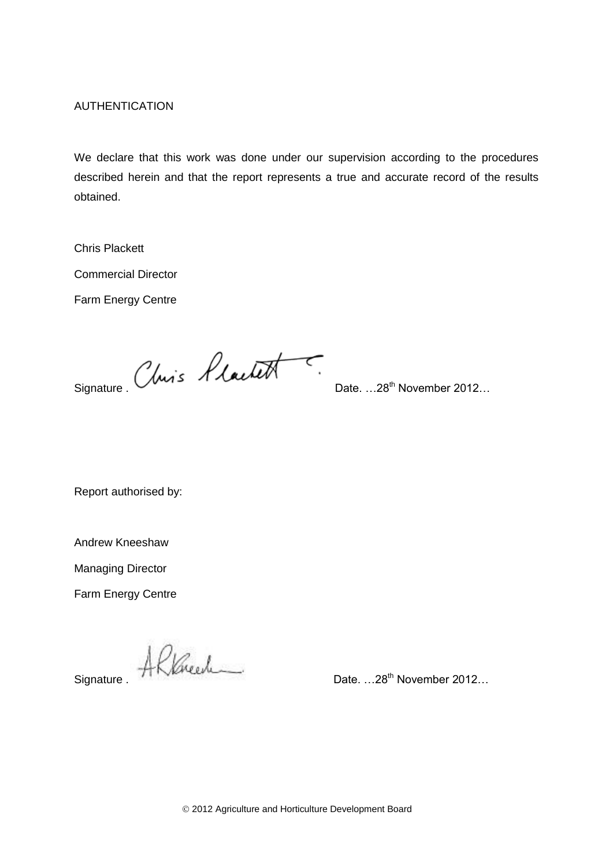AUTHENTICATION

We declare that this work was done under our supervision according to the procedures described herein and that the report represents a true and accurate record of the results obtained.

Chris Plackett

Commercial Director

Farm Energy Centre

Signature . Chris Hlachett . Date. ...28<sup>th</sup> November 2012...

Report authorised by:

Andrew Kneeshaw

Managing Director

Farm Energy Centre

Signature . All Kneech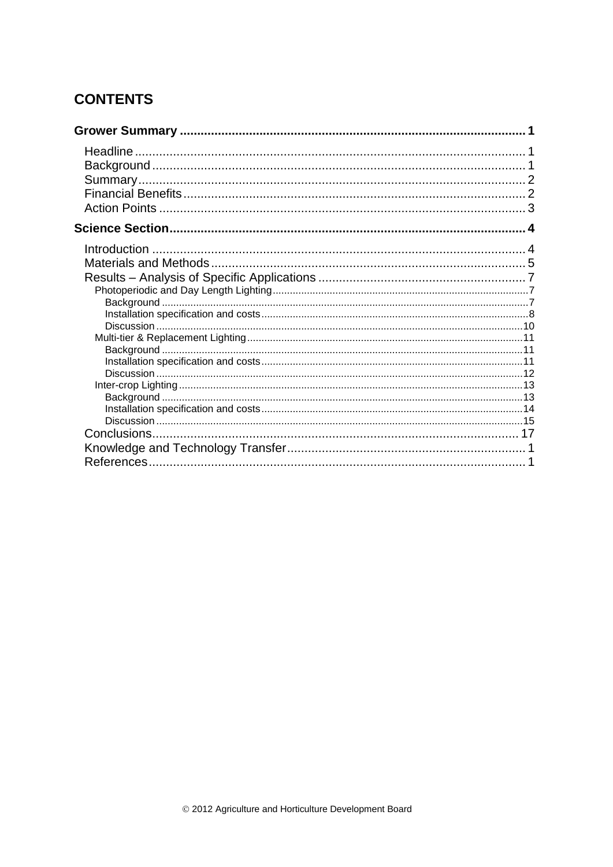# **CONTENTS**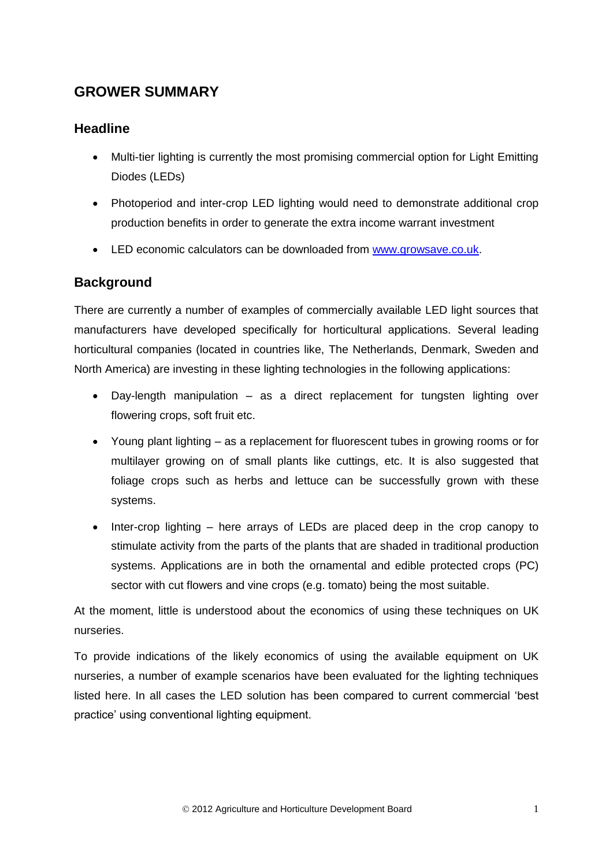## **GROWER SUMMARY**

## **Headline**

- Multi-tier lighting is currently the most promising commercial option for Light Emitting Diodes (LEDs)
- Photoperiod and inter-crop LED lighting would need to demonstrate additional crop production benefits in order to generate the extra income warrant investment
- LED economic calculators can be downloaded from [www.growsave.co.uk.](http://www.growsave.co.uk/)

## **Background**

There are currently a number of examples of commercially available LED light sources that manufacturers have developed specifically for horticultural applications. Several leading horticultural companies (located in countries like, The Netherlands, Denmark, Sweden and North America) are investing in these lighting technologies in the following applications:

- Day-length manipulation as a direct replacement for tungsten lighting over flowering crops, soft fruit etc.
- Young plant lighting as a replacement for fluorescent tubes in growing rooms or for multilayer growing on of small plants like cuttings, etc. It is also suggested that foliage crops such as herbs and lettuce can be successfully grown with these systems.
- Inter-crop lighting here arrays of LEDs are placed deep in the crop canopy to stimulate activity from the parts of the plants that are shaded in traditional production systems. Applications are in both the ornamental and edible protected crops (PC) sector with cut flowers and vine crops (e.g. tomato) being the most suitable.

At the moment, little is understood about the economics of using these techniques on UK nurseries.

To provide indications of the likely economics of using the available equipment on UK nurseries, a number of example scenarios have been evaluated for the lighting techniques listed here. In all cases the LED solution has been compared to current commercial 'best practice' using conventional lighting equipment.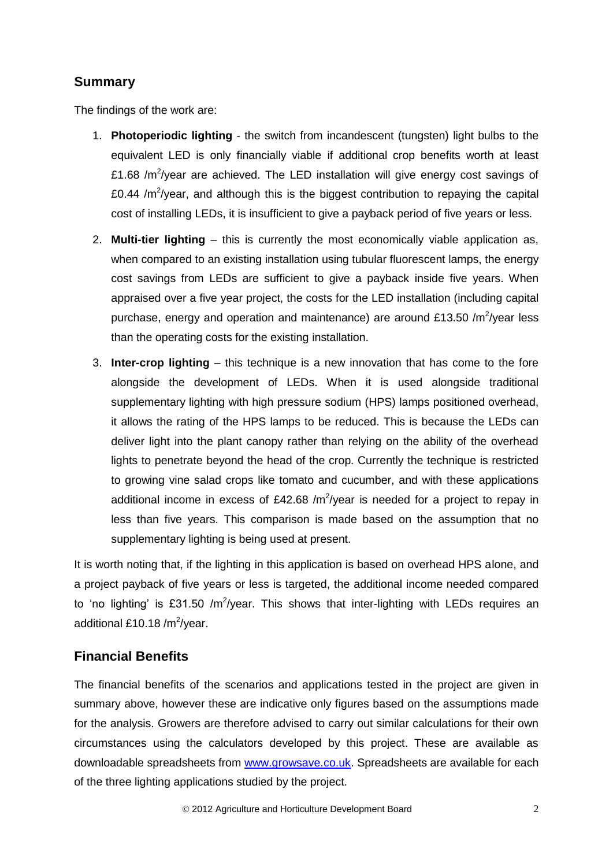## **Summary**

The findings of the work are:

- 1. **Photoperiodic lighting** the switch from incandescent (tungsten) light bulbs to the equivalent LED is only financially viable if additional crop benefits worth at least £1.68 / $m^2$ /year are achieved. The LED installation will give energy cost savings of £0.44 / $m^2$ /year, and although this is the biggest contribution to repaying the capital cost of installing LEDs, it is insufficient to give a payback period of five years or less.
- 2. **Multi-tier lighting** this is currently the most economically viable application as, when compared to an existing installation using tubular fluorescent lamps, the energy cost savings from LEDs are sufficient to give a payback inside five years. When appraised over a five year project, the costs for the LED installation (including capital purchase, energy and operation and maintenance) are around £13.50 /m<sup>2</sup>/year less than the operating costs for the existing installation.
- 3. **Inter-crop lighting** this technique is a new innovation that has come to the fore alongside the development of LEDs. When it is used alongside traditional supplementary lighting with high pressure sodium (HPS) lamps positioned overhead, it allows the rating of the HPS lamps to be reduced. This is because the LEDs can deliver light into the plant canopy rather than relying on the ability of the overhead lights to penetrate beyond the head of the crop. Currently the technique is restricted to growing vine salad crops like tomato and cucumber, and with these applications additional income in excess of £42.68 /m<sup>2</sup>/year is needed for a project to repay in less than five years. This comparison is made based on the assumption that no supplementary lighting is being used at present.

It is worth noting that, if the lighting in this application is based on overhead HPS alone, and a project payback of five years or less is targeted, the additional income needed compared to 'no lighting' is £31.50 /m<sup>2</sup>/year. This shows that inter-lighting with LEDs requires an additional £10.18 /m $^2$ /year.

## **Financial Benefits**

The financial benefits of the scenarios and applications tested in the project are given in summary above, however these are indicative only figures based on the assumptions made for the analysis. Growers are therefore advised to carry out similar calculations for their own circumstances using the calculators developed by this project. These are available as downloadable spreadsheets from [www.growsave.co.uk.](http://www.growsave.co.uk/) Spreadsheets are available for each of the three lighting applications studied by the project.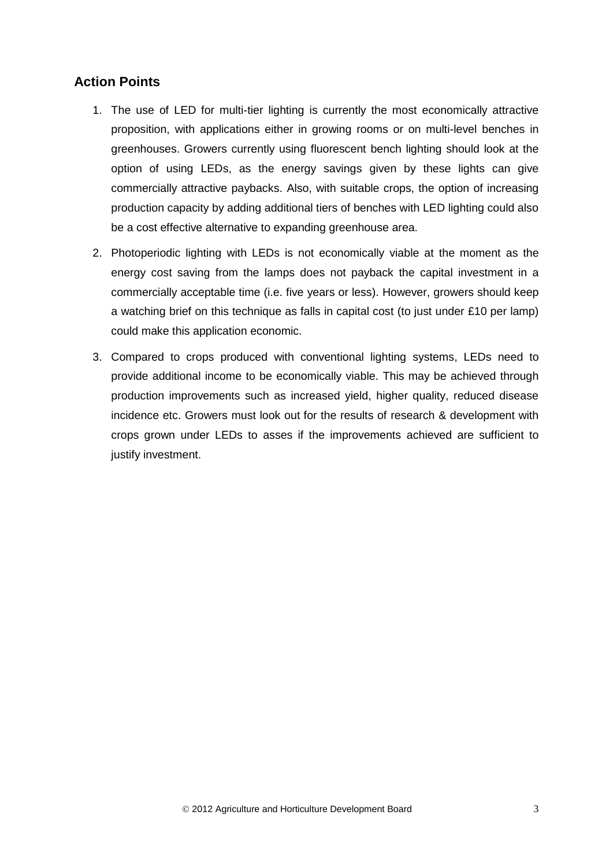## **Action Points**

- 1. The use of LED for multi-tier lighting is currently the most economically attractive proposition, with applications either in growing rooms or on multi-level benches in greenhouses. Growers currently using fluorescent bench lighting should look at the option of using LEDs, as the energy savings given by these lights can give commercially attractive paybacks. Also, with suitable crops, the option of increasing production capacity by adding additional tiers of benches with LED lighting could also be a cost effective alternative to expanding greenhouse area.
- 2. Photoperiodic lighting with LEDs is not economically viable at the moment as the energy cost saving from the lamps does not payback the capital investment in a commercially acceptable time (i.e. five years or less). However, growers should keep a watching brief on this technique as falls in capital cost (to just under £10 per lamp) could make this application economic.
- 3. Compared to crops produced with conventional lighting systems, LEDs need to provide additional income to be economically viable. This may be achieved through production improvements such as increased yield, higher quality, reduced disease incidence etc. Growers must look out for the results of research & development with crops grown under LEDs to asses if the improvements achieved are sufficient to justify investment.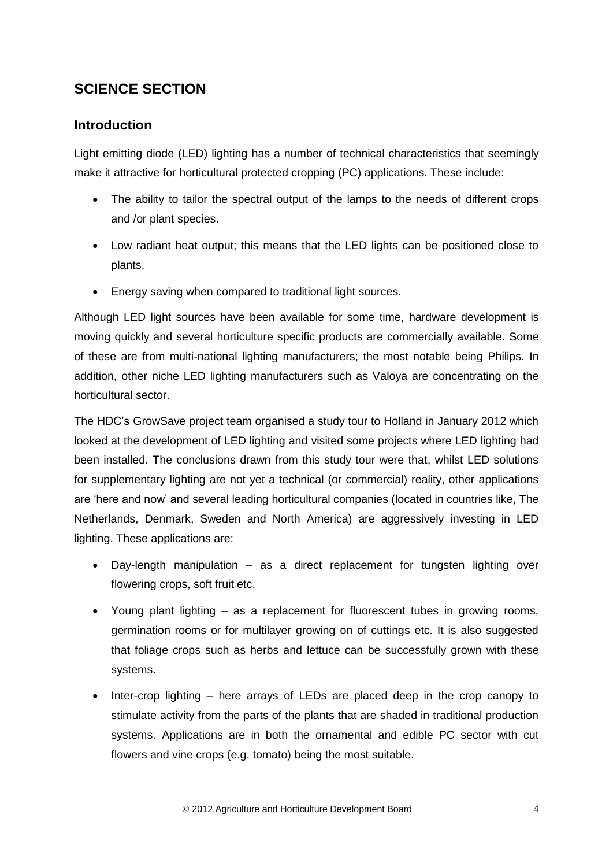# **SCIENCE SECTION**

## **Introduction**

Light emitting diode (LED) lighting has a number of technical characteristics that seemingly make it attractive for horticultural protected cropping (PC) applications. These include:

- The ability to tailor the spectral output of the lamps to the needs of different crops and /or plant species.
- Low radiant heat output; this means that the LED lights can be positioned close to plants.
- Energy saving when compared to traditional light sources.

Although LED light sources have been available for some time, hardware development is moving quickly and several horticulture specific products are commercially available. Some of these are from multi-national lighting manufacturers; the most notable being Philips. In addition, other niche LED lighting manufacturers such as Valoya are concentrating on the horticultural sector.

The HDC's GrowSave project team organised a study tour to Holland in January 2012 which looked at the development of LED lighting and visited some projects where LED lighting had been installed. The conclusions drawn from this study tour were that, whilst LED solutions for supplementary lighting are not yet a technical (or commercial) reality, other applications are 'here and now' and several leading horticultural companies (located in countries like, The Netherlands, Denmark, Sweden and North America) are aggressively investing in LED lighting. These applications are:

- Day-length manipulation as a direct replacement for tungsten lighting over flowering crops, soft fruit etc.
- Young plant lighting as a replacement for fluorescent tubes in growing rooms, germination rooms or for multilayer growing on of cuttings etc. It is also suggested that foliage crops such as herbs and lettuce can be successfully grown with these systems.
- Inter-crop lighting here arrays of LEDs are placed deep in the crop canopy to stimulate activity from the parts of the plants that are shaded in traditional production systems. Applications are in both the ornamental and edible PC sector with cut flowers and vine crops (e.g. tomato) being the most suitable.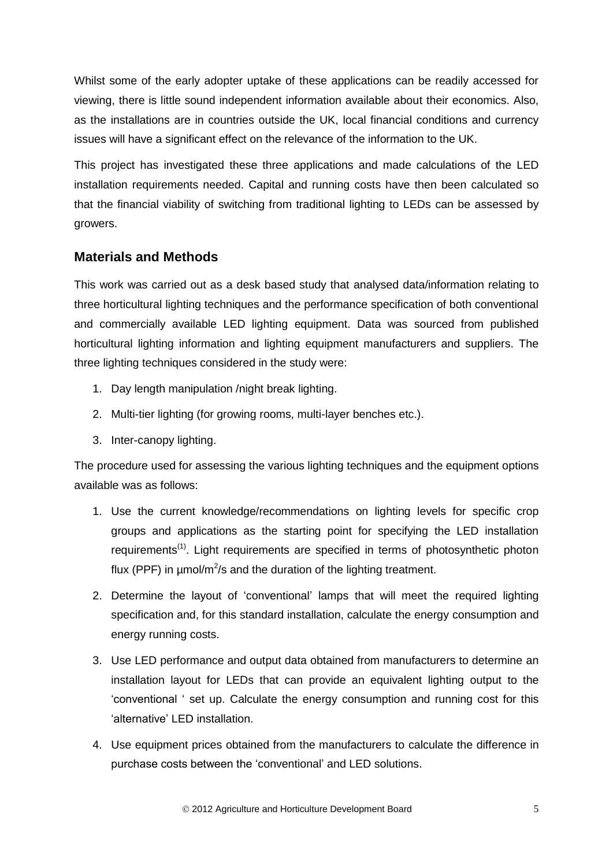Whilst some of the early adopter uptake of these applications can be readily accessed for viewing, there is little sound independent information available about their economics. Also, as the installations are in countries outside the UK, local financial conditions and currency issues will have a significant effect on the relevance of the information to the UK.

This project has investigated these three applications and made calculations of the LED installation requirements needed. Capital and running costs have then been calculated so that the financial viability of switching from traditional lighting to LEDs can be assessed by growers.

## **Materials and Methods**

This work was carried out as a desk based study that analysed data/information relating to three horticultural lighting techniques and the performance specification of both conventional and commercially available LED lighting equipment. Data was sourced from published horticultural lighting information and lighting equipment manufacturers and suppliers. The three lighting techniques considered in the study were:

- 1. Day length manipulation /night break lighting.
- 2. Multi-tier lighting (for growing rooms, multi-layer benches etc.).
- 3. Inter-canopy lighting.

The procedure used for assessing the various lighting techniques and the equipment options available was as follows:

- 1. Use the current knowledge/recommendations on lighting levels for specific crop groups and applications as the starting point for specifying the LED installation requirements<sup>(1)</sup>. Light requirements are specified in terms of photosynthetic photon flux (PPF) in  $\mu$ mol/m<sup>2</sup>/s and the duration of the lighting treatment.
- 2. Determine the layout of 'conventional' lamps that will meet the required lighting specification and, for this standard installation, calculate the energy consumption and energy running costs.
- 3. Use LED performance and output data obtained from manufacturers to determine an installation layout for LEDs that can provide an equivalent lighting output to the 'conventional ' set up. Calculate the energy consumption and running cost for this 'alternative' LED installation.
- 4. Use equipment prices obtained from the manufacturers to calculate the difference in purchase costs between the 'conventional' and LED solutions.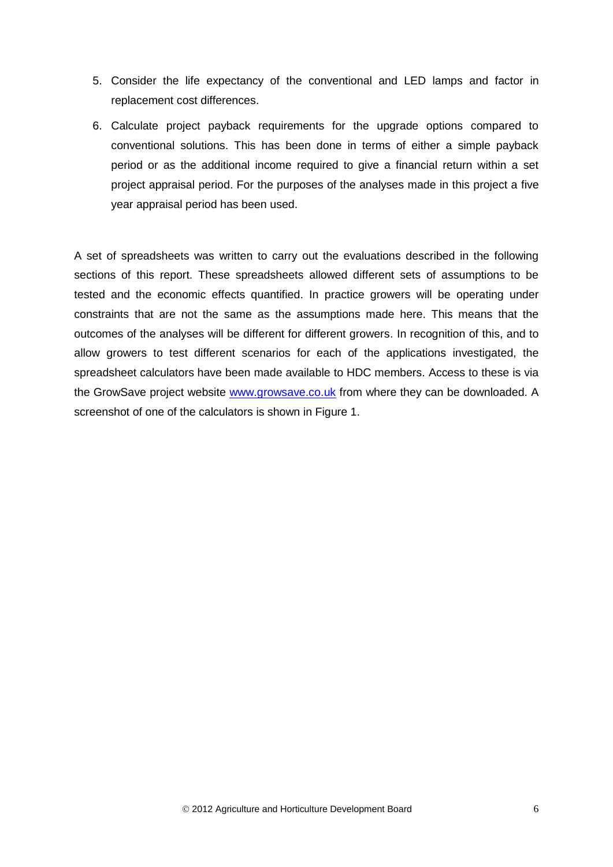- 5. Consider the life expectancy of the conventional and LED lamps and factor in replacement cost differences.
- 6. Calculate project payback requirements for the upgrade options compared to conventional solutions. This has been done in terms of either a simple payback period or as the additional income required to give a financial return within a set project appraisal period. For the purposes of the analyses made in this project a five year appraisal period has been used.

A set of spreadsheets was written to carry out the evaluations described in the following sections of this report. These spreadsheets allowed different sets of assumptions to be tested and the economic effects quantified. In practice growers will be operating under constraints that are not the same as the assumptions made here. This means that the outcomes of the analyses will be different for different growers. In recognition of this, and to allow growers to test different scenarios for each of the applications investigated, the spreadsheet calculators have been made available to HDC members. Access to these is via the GrowSave project website [www.growsave.co.uk](http://www.growsave.co.uk/) from where they can be downloaded. A screenshot of one of the calculators is shown in Figure 1.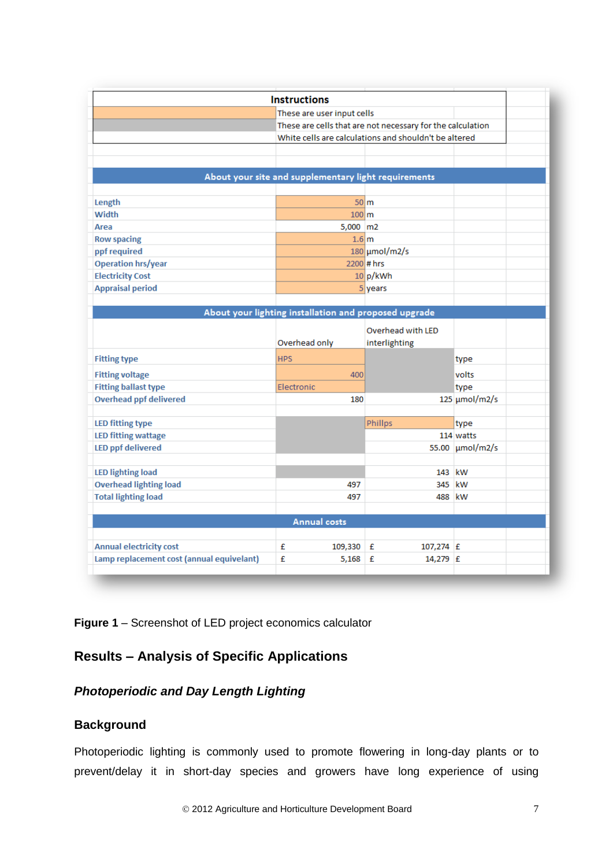|                                | <b>Instructions</b>                                   |                                                            |                           |  |
|--------------------------------|-------------------------------------------------------|------------------------------------------------------------|---------------------------|--|
|                                | These are user input cells                            |                                                            |                           |  |
|                                |                                                       | These are cells that are not necessary for the calculation |                           |  |
|                                | White cells are calculations and shouldn't be altered |                                                            |                           |  |
|                                |                                                       |                                                            |                           |  |
|                                |                                                       |                                                            |                           |  |
|                                | About your site and supplementary light requirements  |                                                            |                           |  |
| Length                         |                                                       | 50 <sub>cm</sub>                                           |                           |  |
| Width                          |                                                       | $100 \, \mathrm{m}$                                        |                           |  |
| Area                           |                                                       | $5,000$ m2                                                 |                           |  |
| <b>Row spacing</b>             |                                                       | 1.6 <sub>m</sub>                                           |                           |  |
| ppf required                   |                                                       | $180 \mu \text{mol/m2/s}$                                  |                           |  |
| <b>Operation hrs/year</b>      |                                                       | $2200$ # hrs                                               |                           |  |
| <b>Electricity Cost</b>        |                                                       | 10 p/kWh                                                   |                           |  |
| <b>Appraisal period</b>        |                                                       | 5 years                                                    |                           |  |
|                                |                                                       |                                                            |                           |  |
|                                | About your lighting installation and proposed upgrade |                                                            |                           |  |
|                                |                                                       | Overhead with LED                                          |                           |  |
|                                | Overhead only                                         | interlighting                                              |                           |  |
|                                |                                                       |                                                            |                           |  |
| <b>Fitting type</b>            | <b>HPS</b>                                            |                                                            | type                      |  |
| <b>Fitting voltage</b>         |                                                       | 400                                                        | volts                     |  |
| <b>Fitting ballast type</b>    | Electronic                                            |                                                            | type                      |  |
| <b>Overhead ppf delivered</b>  |                                                       | 180                                                        | $125 \mu \text{mol/m2/s}$ |  |
|                                |                                                       |                                                            |                           |  |
| <b>LED fitting type</b>        |                                                       | Phillps                                                    | type                      |  |
| <b>LED fitting wattage</b>     |                                                       |                                                            | 114 watts                 |  |
| <b>LED ppf delivered</b>       |                                                       |                                                            | 55.00 µmol/m2/s           |  |
| <b>LED lighting load</b>       |                                                       |                                                            | 143 kW                    |  |
| <b>Overhead lighting load</b>  | 497                                                   |                                                            | 345 kW                    |  |
| <b>Total lighting load</b>     | 497                                                   |                                                            | 488 kW                    |  |
|                                |                                                       |                                                            |                           |  |
|                                | <b>Annual costs</b>                                   |                                                            |                           |  |
|                                |                                                       |                                                            |                           |  |
| <b>Annual electricity cost</b> | £<br>109,330                                          | £<br>$107,274$ £                                           |                           |  |
|                                | £                                                     |                                                            |                           |  |

**Figure 1** – Screenshot of LED project economics calculator

# **Results – Analysis of Specific Applications**

## *Photoperiodic and Day Length Lighting*

## **Background**

Photoperiodic lighting is commonly used to promote flowering in long-day plants or to prevent/delay it in short-day species and growers have long experience of using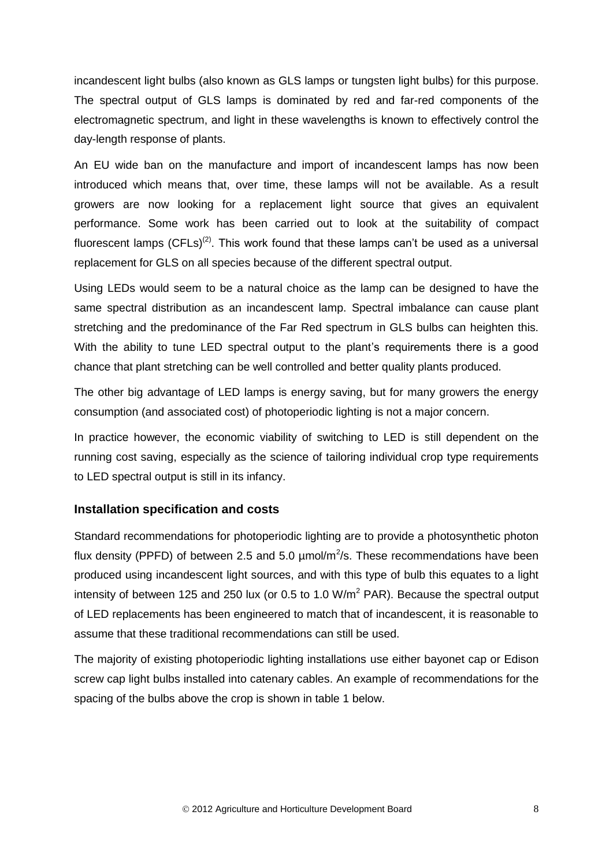incandescent light bulbs (also known as GLS lamps or tungsten light bulbs) for this purpose. The spectral output of GLS lamps is dominated by red and far-red components of the electromagnetic spectrum, and light in these wavelengths is known to effectively control the day-length response of plants.

An EU wide ban on the manufacture and import of incandescent lamps has now been introduced which means that, over time, these lamps will not be available. As a result growers are now looking for a replacement light source that gives an equivalent performance. Some work has been carried out to look at the suitability of compact fluorescent lamps (CFLs)<sup>(2)</sup>. This work found that these lamps can't be used as a universal replacement for GLS on all species because of the different spectral output.

Using LEDs would seem to be a natural choice as the lamp can be designed to have the same spectral distribution as an incandescent lamp. Spectral imbalance can cause plant stretching and the predominance of the Far Red spectrum in GLS bulbs can heighten this. With the ability to tune LED spectral output to the plant's requirements there is a good chance that plant stretching can be well controlled and better quality plants produced.

The other big advantage of LED lamps is energy saving, but for many growers the energy consumption (and associated cost) of photoperiodic lighting is not a major concern.

In practice however, the economic viability of switching to LED is still dependent on the running cost saving, especially as the science of tailoring individual crop type requirements to LED spectral output is still in its infancy.

#### **Installation specification and costs**

Standard recommendations for photoperiodic lighting are to provide a photosynthetic photon flux density (PPFD) of between 2.5 and 5.0  $\mu$ mol/m<sup>2</sup>/s. These recommendations have been produced using incandescent light sources, and with this type of bulb this equates to a light intensity of between 125 and 250 lux (or 0.5 to 1.0  $W/m^2$  PAR). Because the spectral output of LED replacements has been engineered to match that of incandescent, it is reasonable to assume that these traditional recommendations can still be used.

The majority of existing photoperiodic lighting installations use either bayonet cap or Edison screw cap light bulbs installed into catenary cables. An example of recommendations for the spacing of the bulbs above the crop is shown in table 1 below.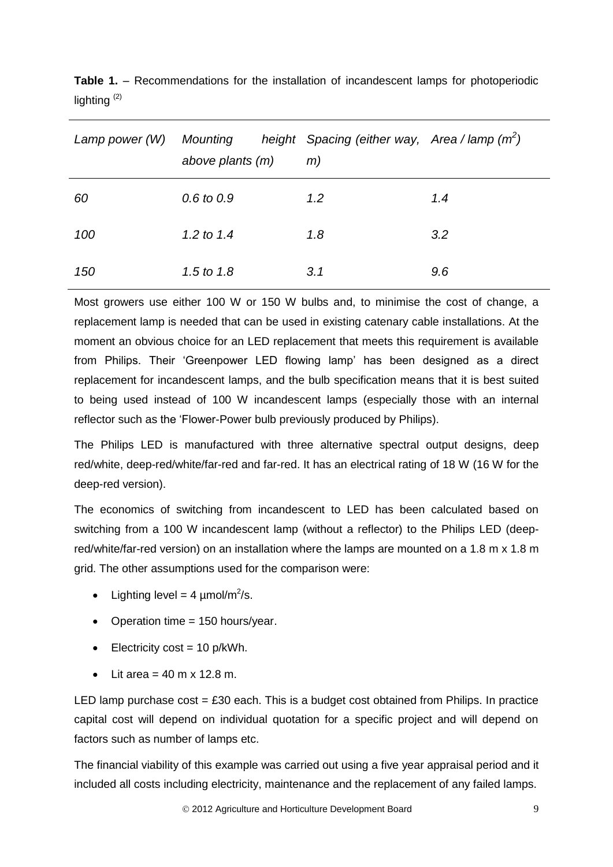| Lamp power (W) | above plants (m) | Mounting beight Spacing (either way, Area / lamp $(m2)$<br>m) |     |
|----------------|------------------|---------------------------------------------------------------|-----|
| 60             | $0.6$ to $0.9$   | $1.2^{\circ}$                                                 | 1.4 |
| 100            | 1.2 to 1.4       | 1.8                                                           | 3.2 |
| 150            | 1.5 to $1.8$     | 3.1                                                           | 9.6 |

**Table 1.** – Recommendations for the installation of incandescent lamps for photoperiodic lighting (2)

Most growers use either 100 W or 150 W bulbs and, to minimise the cost of change, a replacement lamp is needed that can be used in existing catenary cable installations. At the moment an obvious choice for an LED replacement that meets this requirement is available from Philips. Their 'Greenpower LED flowing lamp' has been designed as a direct replacement for incandescent lamps, and the bulb specification means that it is best suited to being used instead of 100 W incandescent lamps (especially those with an internal reflector such as the 'Flower-Power bulb previously produced by Philips).

The Philips LED is manufactured with three alternative spectral output designs, deep red/white, deep-red/white/far-red and far-red. It has an electrical rating of 18 W (16 W for the deep-red version).

The economics of switching from incandescent to LED has been calculated based on switching from a 100 W incandescent lamp (without a reflector) to the Philips LED (deepred/white/far-red version) on an installation where the lamps are mounted on a 1.8 m x 1.8 m grid. The other assumptions used for the comparison were:

- Lighting level = 4  $\mu$ mol/m<sup>2</sup>/s.
- Operation time  $= 150$  hours/year.
- $\bullet$  Electricity cost = 10 p/kWh.
- $\bullet$  Lit area = 40 m x 12.8 m.

LED lamp purchase  $cost = £30$  each. This is a budget cost obtained from Philips. In practice capital cost will depend on individual quotation for a specific project and will depend on factors such as number of lamps etc.

The financial viability of this example was carried out using a five year appraisal period and it included all costs including electricity, maintenance and the replacement of any failed lamps.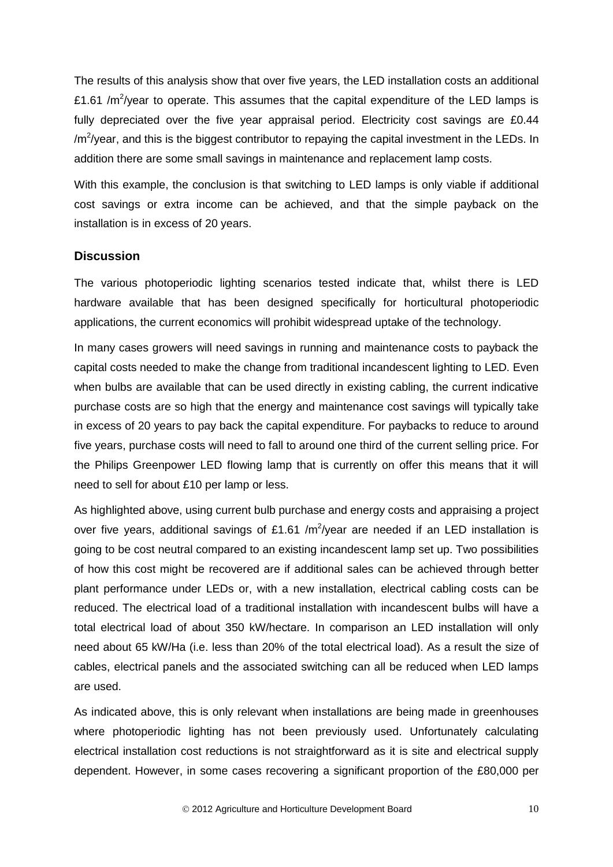The results of this analysis show that over five years, the LED installation costs an additional £1.61 /m<sup>2</sup>/year to operate. This assumes that the capital expenditure of the LED lamps is fully depreciated over the five year appraisal period. Electricity cost savings are £0.44 /m<sup>2</sup>/year, and this is the biggest contributor to repaying the capital investment in the LEDs. In addition there are some small savings in maintenance and replacement lamp costs.

With this example, the conclusion is that switching to LED lamps is only viable if additional cost savings or extra income can be achieved, and that the simple payback on the installation is in excess of 20 years.

#### **Discussion**

The various photoperiodic lighting scenarios tested indicate that, whilst there is LED hardware available that has been designed specifically for horticultural photoperiodic applications, the current economics will prohibit widespread uptake of the technology.

In many cases growers will need savings in running and maintenance costs to payback the capital costs needed to make the change from traditional incandescent lighting to LED. Even when bulbs are available that can be used directly in existing cabling, the current indicative purchase costs are so high that the energy and maintenance cost savings will typically take in excess of 20 years to pay back the capital expenditure. For paybacks to reduce to around five years, purchase costs will need to fall to around one third of the current selling price. For the Philips Greenpower LED flowing lamp that is currently on offer this means that it will need to sell for about £10 per lamp or less.

As highlighted above, using current bulb purchase and energy costs and appraising a project over five years, additional savings of £1.61 /m<sup>2</sup>/year are needed if an LED installation is going to be cost neutral compared to an existing incandescent lamp set up. Two possibilities of how this cost might be recovered are if additional sales can be achieved through better plant performance under LEDs or, with a new installation, electrical cabling costs can be reduced. The electrical load of a traditional installation with incandescent bulbs will have a total electrical load of about 350 kW/hectare. In comparison an LED installation will only need about 65 kW/Ha (i.e. less than 20% of the total electrical load). As a result the size of cables, electrical panels and the associated switching can all be reduced when LED lamps are used.

As indicated above, this is only relevant when installations are being made in greenhouses where photoperiodic lighting has not been previously used. Unfortunately calculating electrical installation cost reductions is not straightforward as it is site and electrical supply dependent. However, in some cases recovering a significant proportion of the £80,000 per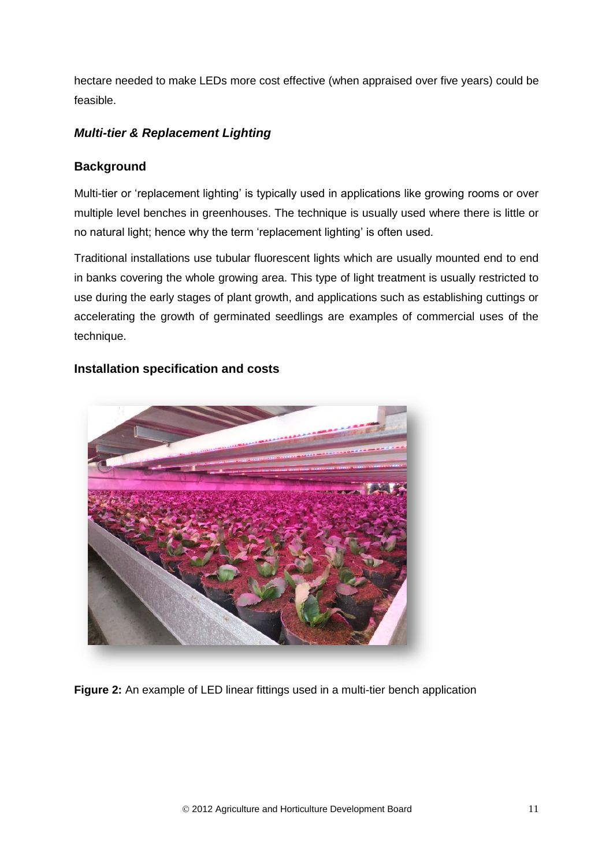hectare needed to make LEDs more cost effective (when appraised over five years) could be feasible.

## *Multi-tier & Replacement Lighting*

## **Background**

Multi-tier or 'replacement lighting' is typically used in applications like growing rooms or over multiple level benches in greenhouses. The technique is usually used where there is little or no natural light; hence why the term 'replacement lighting' is often used.

Traditional installations use tubular fluorescent lights which are usually mounted end to end in banks covering the whole growing area. This type of light treatment is usually restricted to use during the early stages of plant growth, and applications such as establishing cuttings or accelerating the growth of germinated seedlings are examples of commercial uses of the technique.

### **Installation specification and costs**

**Figure 2:** An example of LED linear fittings used in a multi-tier bench application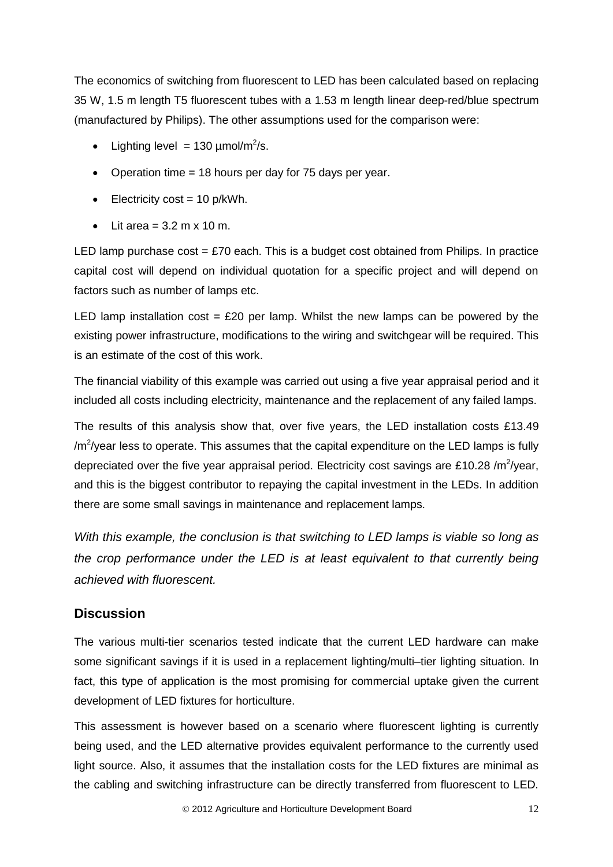The economics of switching from fluorescent to LED has been calculated based on replacing 35 W, 1.5 m length T5 fluorescent tubes with a 1.53 m length linear deep-red/blue spectrum (manufactured by Philips). The other assumptions used for the comparison were:

- Lighting level = 130  $\mu$ mol/m<sup>2</sup>/s.
- Operation time  $= 18$  hours per day for 75 days per year.
- $\bullet$  Electricity cost = 10 p/kWh.
- $\bullet$  Lit area = 3.2 m x 10 m.

LED lamp purchase cost  $= \pounds 70$  each. This is a budget cost obtained from Philips. In practice capital cost will depend on individual quotation for a specific project and will depend on factors such as number of lamps etc.

LED lamp installation  $cost = £20$  per lamp. Whilst the new lamps can be powered by the existing power infrastructure, modifications to the wiring and switchgear will be required. This is an estimate of the cost of this work.

The financial viability of this example was carried out using a five year appraisal period and it included all costs including electricity, maintenance and the replacement of any failed lamps.

The results of this analysis show that, over five years, the LED installation costs £13.49  $/m^2$ /year less to operate. This assumes that the capital expenditure on the LED lamps is fully depreciated over the five year appraisal period. Electricity cost savings are £10.28 /m<sup>2</sup>/year, and this is the biggest contributor to repaying the capital investment in the LEDs. In addition there are some small savings in maintenance and replacement lamps.

*With this example, the conclusion is that switching to LED lamps is viable so long as the crop performance under the LED is at least equivalent to that currently being achieved with fluorescent.*

## **Discussion**

The various multi-tier scenarios tested indicate that the current LED hardware can make some significant savings if it is used in a replacement lighting/multi–tier lighting situation. In fact, this type of application is the most promising for commercial uptake given the current development of LED fixtures for horticulture.

This assessment is however based on a scenario where fluorescent lighting is currently being used, and the LED alternative provides equivalent performance to the currently used light source. Also, it assumes that the installation costs for the LED fixtures are minimal as the cabling and switching infrastructure can be directly transferred from fluorescent to LED.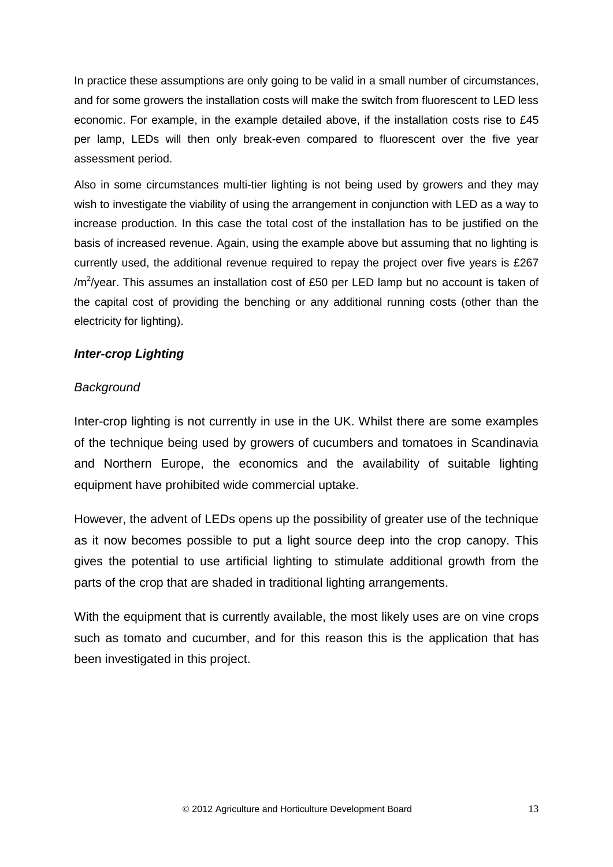In practice these assumptions are only going to be valid in a small number of circumstances, and for some growers the installation costs will make the switch from fluorescent to LED less economic. For example, in the example detailed above, if the installation costs rise to £45 per lamp, LEDs will then only break-even compared to fluorescent over the five year assessment period.

Also in some circumstances multi-tier lighting is not being used by growers and they may wish to investigate the viability of using the arrangement in conjunction with LED as a way to increase production. In this case the total cost of the installation has to be justified on the basis of increased revenue. Again, using the example above but assuming that no lighting is currently used, the additional revenue required to repay the project over five years is £267 /m<sup>2</sup>/year. This assumes an installation cost of £50 per LED lamp but no account is taken of the capital cost of providing the benching or any additional running costs (other than the electricity for lighting).

## *Inter-crop Lighting*

### *Background*

Inter-crop lighting is not currently in use in the UK. Whilst there are some examples of the technique being used by growers of cucumbers and tomatoes in Scandinavia and Northern Europe, the economics and the availability of suitable lighting equipment have prohibited wide commercial uptake.

However, the advent of LEDs opens up the possibility of greater use of the technique as it now becomes possible to put a light source deep into the crop canopy. This gives the potential to use artificial lighting to stimulate additional growth from the parts of the crop that are shaded in traditional lighting arrangements.

With the equipment that is currently available, the most likely uses are on vine crops such as tomato and cucumber, and for this reason this is the application that has been investigated in this project.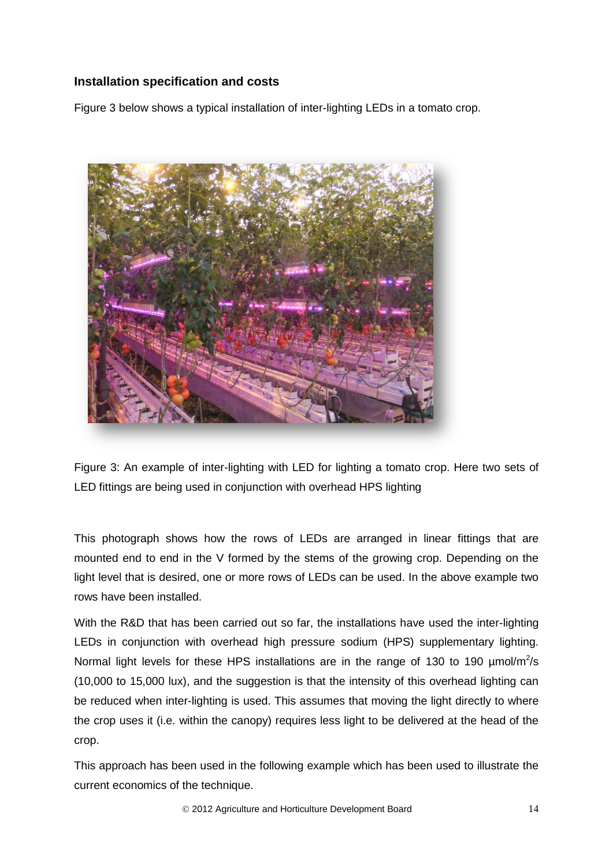### **Installation specification and costs**

Figure 3 below shows a typical installation of inter-lighting LEDs in a tomato crop.



Figure 3: An example of inter-lighting with LED for lighting a tomato crop. Here two sets of LED fittings are being used in conjunction with overhead HPS lighting

This photograph shows how the rows of LEDs are arranged in linear fittings that are mounted end to end in the V formed by the stems of the growing crop. Depending on the light level that is desired, one or more rows of LEDs can be used. In the above example two rows have been installed.

With the R&D that has been carried out so far, the installations have used the inter-lighting LEDs in conjunction with overhead high pressure sodium (HPS) supplementary lighting. Normal light levels for these HPS installations are in the range of 130 to 190  $\mu$ mol/m<sup>2</sup>/s (10,000 to 15,000 lux), and the suggestion is that the intensity of this overhead lighting can be reduced when inter-lighting is used. This assumes that moving the light directly to where the crop uses it (i.e. within the canopy) requires less light to be delivered at the head of the crop.

This approach has been used in the following example which has been used to illustrate the current economics of the technique.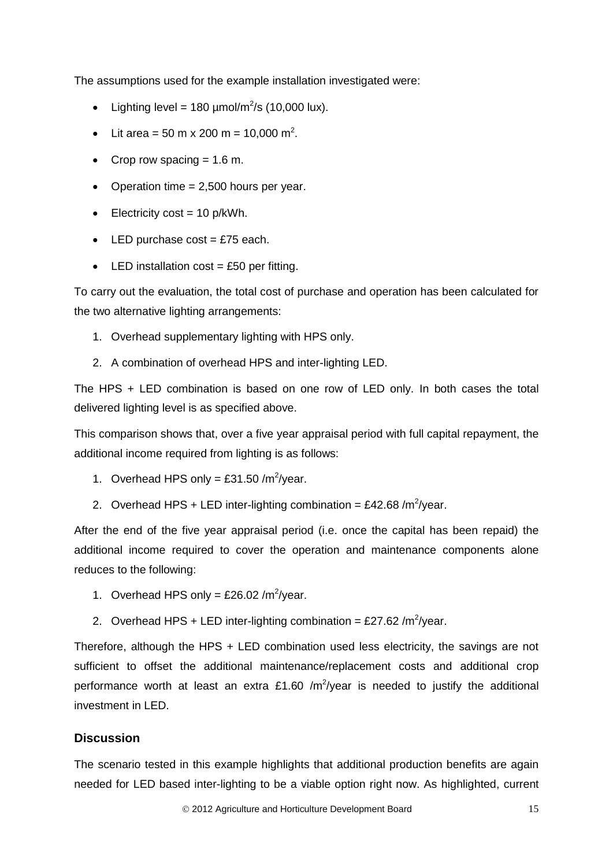The assumptions used for the example installation investigated were:

- Lighting level = 180  $\mu$ mol/m<sup>2</sup>/s (10,000 lux).
- Lit area = 50 m x 200 m = 10,000 m<sup>2</sup>.
- Crop row spacing  $= 1.6$  m.
- Operation time  $= 2,500$  hours per year.
- $\bullet$  Electricity cost = 10 p/kWh.
- $\bullet$  LED purchase cost = £75 each.
- $\bullet$  LED installation cost = £50 per fitting.

To carry out the evaluation, the total cost of purchase and operation has been calculated for the two alternative lighting arrangements:

- 1. Overhead supplementary lighting with HPS only.
- 2. A combination of overhead HPS and inter-lighting LED.

The HPS + LED combination is based on one row of LED only. In both cases the total delivered lighting level is as specified above.

This comparison shows that, over a five year appraisal period with full capital repayment, the additional income required from lighting is as follows:

- 1. Overhead HPS only = £31.50 /m<sup>2</sup>/year.
- 2. Overhead HPS + LED inter-lighting combination = £42.68 /m<sup>2</sup>/year.

After the end of the five year appraisal period (i.e. once the capital has been repaid) the additional income required to cover the operation and maintenance components alone reduces to the following:

- 1. Overhead HPS only = £26.02 /m<sup>2</sup>/year.
- 2. Overhead HPS + LED inter-lighting combination = £27.62 /m<sup>2</sup>/year.

Therefore, although the HPS + LED combination used less electricity, the savings are not sufficient to offset the additional maintenance/replacement costs and additional crop performance worth at least an extra £1.60 /m<sup>2</sup>/year is needed to justify the additional investment in LED.

#### **Discussion**

The scenario tested in this example highlights that additional production benefits are again needed for LED based inter-lighting to be a viable option right now. As highlighted, current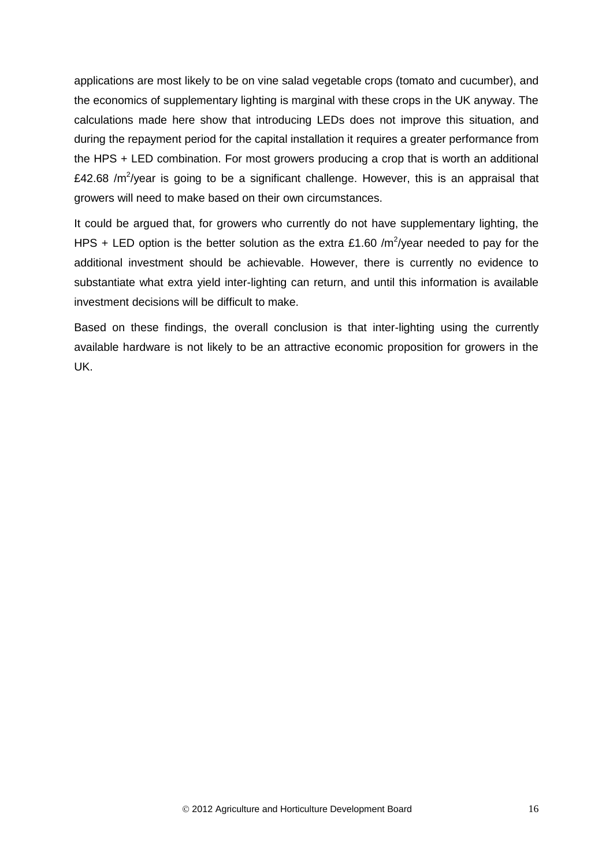applications are most likely to be on vine salad vegetable crops (tomato and cucumber), and the economics of supplementary lighting is marginal with these crops in the UK anyway. The calculations made here show that introducing LEDs does not improve this situation, and during the repayment period for the capital installation it requires a greater performance from the HPS + LED combination. For most growers producing a crop that is worth an additional £42.68 / $m^2$ /year is going to be a significant challenge. However, this is an appraisal that growers will need to make based on their own circumstances.

It could be argued that, for growers who currently do not have supplementary lighting, the HPS + LED option is the better solution as the extra £1.60 /m<sup>2</sup>/year needed to pay for the additional investment should be achievable. However, there is currently no evidence to substantiate what extra yield inter-lighting can return, and until this information is available investment decisions will be difficult to make.

Based on these findings, the overall conclusion is that inter-lighting using the currently available hardware is not likely to be an attractive economic proposition for growers in the UK.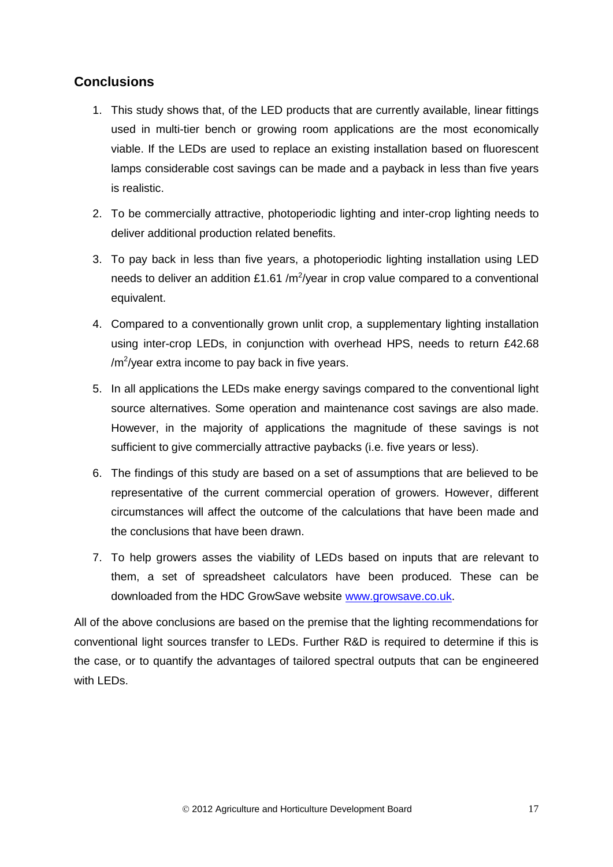## **Conclusions**

- 1. This study shows that, of the LED products that are currently available, linear fittings used in multi-tier bench or growing room applications are the most economically viable. If the LEDs are used to replace an existing installation based on fluorescent lamps considerable cost savings can be made and a payback in less than five years is realistic.
- 2. To be commercially attractive, photoperiodic lighting and inter-crop lighting needs to deliver additional production related benefits.
- 3. To pay back in less than five years, a photoperiodic lighting installation using LED needs to deliver an addition £1.61 /m<sup>2</sup>/year in crop value compared to a conventional equivalent.
- 4. Compared to a conventionally grown unlit crop, a supplementary lighting installation using inter-crop LEDs, in conjunction with overhead HPS, needs to return £42.68 /m<sup>2</sup>/year extra income to pay back in five years.
- 5. In all applications the LEDs make energy savings compared to the conventional light source alternatives. Some operation and maintenance cost savings are also made. However, in the majority of applications the magnitude of these savings is not sufficient to give commercially attractive paybacks (i.e. five years or less).
- 6. The findings of this study are based on a set of assumptions that are believed to be representative of the current commercial operation of growers. However, different circumstances will affect the outcome of the calculations that have been made and the conclusions that have been drawn.
- 7. To help growers asses the viability of LEDs based on inputs that are relevant to them, a set of spreadsheet calculators have been produced. These can be downloaded from the HDC GrowSave website [www.growsave.co.uk.](http://www.growsave.co.uk/)

All of the above conclusions are based on the premise that the lighting recommendations for conventional light sources transfer to LEDs. Further R&D is required to determine if this is the case, or to quantify the advantages of tailored spectral outputs that can be engineered with LEDs.